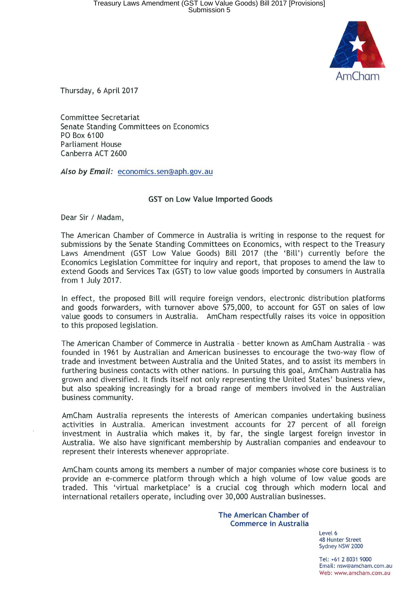

Thursday, 6 April 2017

Committee Secretariat Senate Standing Committees on Economics PO Box 6100 Parliament House Canberra ACT 2600

**Also by Email:** economics.sen@aph.gov.au

## **GST on Low Value Imported Goods**

Dear Sir / Madam,

The American Chamber of Commerce in Australia is writing in response to the request for submissions by the Senate Standing Committees on Economics, with respect to the Treasury Laws Amendment (GST Low Value Goods) Bill 2017 (the 'Bill') currently before the Economics Legislation Committee for inquiry and report, that proposes to amend the law to extend Goods and Services Tax (GST) to low value goods imported by consumers in Australia from 1 July 2017.

In effect, the proposed Bill will require foreign vendors, electronic distribution platforms and goods forwarders, with turnover above \$75,000, to account for GST on sales of low value goods to consumers in Australia. AmCham respectfully raises its voice in opposition to this proposed legislation.

The American Chamber of Commerce in Australia - better known as AmCham Australia - was founded in 1961 by Australian and American businesses to encourage the two-way flow of trade and investment between Australia and the United States, and to assist its members in furthering business contacts with other nations. In pursuing this goal, AmCham Australia has grown and diversified. It finds itself not only representing the United States' business view, but also speaking increasingly for a broad range of members involved in the Australian business community.

AmCham Australia represents the interests of American companies undertaking business activities in Australia. American investment accounts for 27 percent of all foreign investment in Australia which makes it, by far, the single largest foreign investor in Australia. We also have significant membership by Australian companies and endeavour to represent their interests whenever appropriate.

AmCham counts among its members a number of major companies whose core business is to provide an e-commerce platform through which a high volume of low value goods are traded. This 'virtual marketplace' is a crucial cog through which modern local and international retailers operate, including over 30,000 Australian businesses.

> **The American Chamber of Commerce in Australia**

> > Level 6 48 Hunter Street Sydney NSW 2000

Tel: +61 2 8031 9000 Email: nsw@amcham.com.au Web: www.amcham.com.au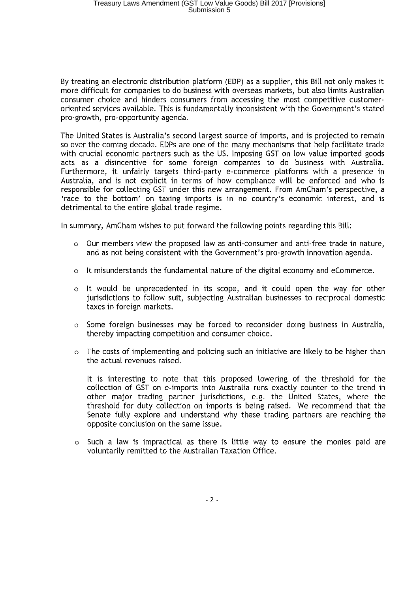By treating an electronic distribution platform (EDP) as a supplier, this Bill not only makes **it**  more difficult for companies to do business with overseas markets, but also limits Australian consumer choice and hinders consumers from accessing the most competitive customeroriented services available. This is fundamentally inconsistent with the Government's stated pro-growth, pro-opportunity agenda.

The United States is Australia's second largest source of imports, and is projected to remain so over the coming decade. EDPs are one of the many mechanisms that help facilitate trade with crucial economic partners such as the US. Imposing GST on low value imported goods acts as a disincentive for some foreign companies to do business with Australia. Furthermore, it unfairly targets third-party e-commerce platforms with a presence **in**  Australia, and is not explicit **in** terms of how compliance will be enforced and who is responsible for collecting GST under this new arrangement. From AmCham's perspective, a 'race to the bottom' on taxing imports is in no country's economic interest, and is detrimental to the entire global trade regime.

**In** summary, AmCham wishes to put forward the following points regarding this Bill:

- o Our members view the proposed law as anti-consumer and anti-free trade in nature, and as not being consistent with the Government's pro-growth innovation agenda.
- o It misunderstands the fundamental nature of the digital economy and eCommerce.
- o It would be unprecedented in its scope, and it could open the way for other jurisdictions to follow suit, subjecting Australian businesses to reciprocal domestic taxes in foreign markets.
- o Some foreign businesses may be forced to reconsider doing business **in** Australia, thereby impacting competition and consumer choice.
- o The costs of implementing and policing such an initiative are likely to be higher than the actual revenues raised.

It is interesting to note that this proposed lowering of the threshold for the collection of GST on e-imports into Australia runs exactly counter to the trend in other major trading partner jurisdictions, e.g. the United States, where the threshold for duty collection on imports is being raised. We recommend that the Senate fully explore and understand why these trading partners are reaching the opposite conclusion on the same issue.

o Such a law is impractical as there is little way to ensure the monies paid are voluntarily remitted to the Australian Taxation Office.